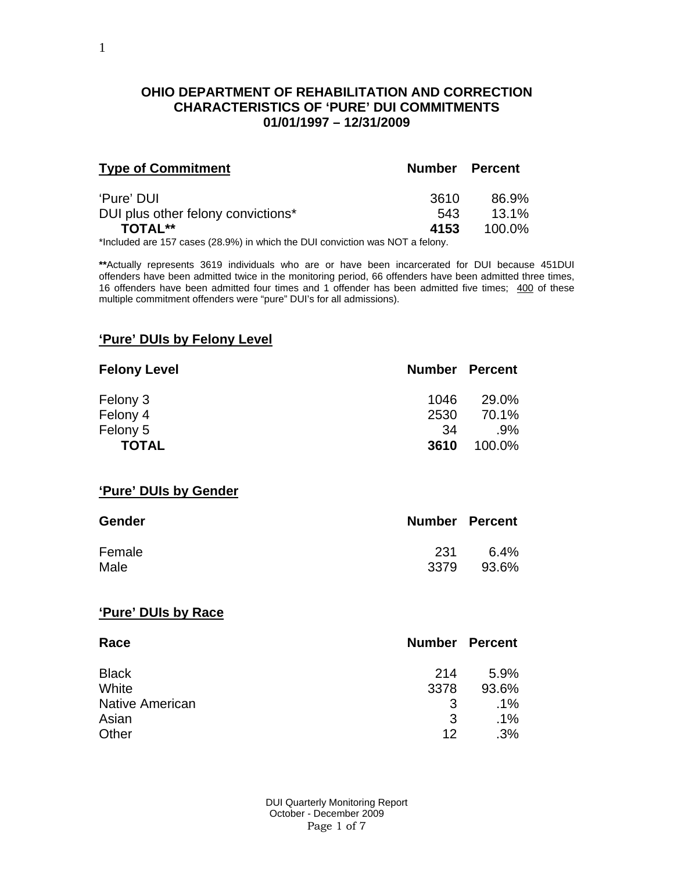### **OHIO DEPARTMENT OF REHABILITATION AND CORRECTION CHARACTERISTICS OF 'PURE' DUI COMMITMENTS 01/01/1997 – 12/31/2009**

| <b>Type of Commitment</b>          | <b>Number Percent</b> |          |
|------------------------------------|-----------------------|----------|
| 'Pure' DUI                         | 3610                  | 86.9%    |
| DUI plus other felony convictions* | 543                   | $13.1\%$ |
| <b>TOTAL**</b>                     | 4153                  | 100.0%   |

\*Included are 157 cases (28.9%) in which the DUI conviction was NOT a felony.

**\*\***Actually represents 3619 individuals who are or have been incarcerated for DUI because 451DUI offenders have been admitted twice in the monitoring period, 66 offenders have been admitted three times, 16 offenders have been admitted four times and 1 offender has been admitted five times; 400 of these multiple commitment offenders were "pure" DUI's for all admissions).

#### **'Pure' DUIs by Felony Level**

| <b>Felony Level</b> | <b>Number Percent</b> |        |
|---------------------|-----------------------|--------|
| Felony 3            | 1046                  | 29.0%  |
| Felony 4            | 2530                  | 70.1%  |
| Felony 5            | -34                   | .9%    |
| <b>TOTAL</b>        | 3610                  | 100.0% |

#### **'Pure' DUIs by Gender**

| <b>Gender</b> | <b>Number Percent</b> |       |
|---------------|-----------------------|-------|
| Female        | -231                  | 6.4%  |
| Male          | 3379                  | 93.6% |

#### **'Pure' DUIs by Race**

| Race                   | <b>Number Percent</b> |        |
|------------------------|-----------------------|--------|
| <b>Black</b>           | 214                   | 5.9%   |
| White                  | 3378                  | 93.6%  |
| <b>Native American</b> | -3                    | $.1\%$ |
| Asian                  | 3                     | $.1\%$ |
| Other                  | 12                    | .3%    |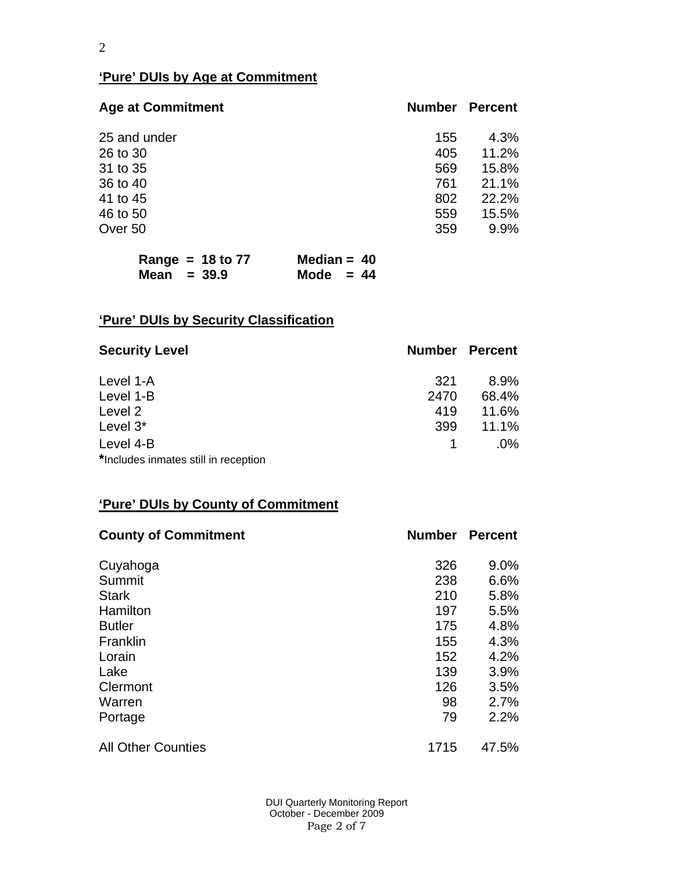# **'Pure' DUIs by Age at Commitment**

| <b>Age at Commitment</b> | <b>Number</b> | <b>Percent</b> |
|--------------------------|---------------|----------------|
| 25 and under             | 155           | 4.3%           |
| 26 to 30                 | 405           | 11.2%          |
| 31 to 35                 | 569           | 15.8%          |
| 36 to 40                 | 761           | 21.1%          |
| 41 to 45                 | 802           | 22.2%          |
| 46 to 50                 | 559           | 15.5%          |
| Over 50                  | 359           | 9.9%           |

|               | Range = $18$ to 77 | Median = $40$ |  |
|---------------|--------------------|---------------|--|
| Mean $= 39.9$ |                    | Mode $= 44$   |  |

# **'Pure' DUIs by Security Classification**

| <b>Security Level</b>                | <b>Number Percent</b> |        |
|--------------------------------------|-----------------------|--------|
| Level 1-A                            | 321                   | 8.9%   |
| Level 1-B                            | 2470                  | 68.4%  |
| Level 2                              | 419                   | 11.6%  |
| Level 3*                             | 399                   | 11.1%  |
| Level 4-B                            |                       | $.0\%$ |
| *Includes inmates still in reception |                       |        |

# **'Pure' DUIs by County of Commitment**

| <b>County of Commitment</b> | <b>Number</b> | <b>Percent</b> |
|-----------------------------|---------------|----------------|
| Cuyahoga                    | 326           | $9.0\%$        |
| Summit                      | 238           | 6.6%           |
| <b>Stark</b>                | 210           | 5.8%           |
| Hamilton                    | 197           | 5.5%           |
| <b>Butler</b>               | 175           | 4.8%           |
| Franklin                    | 155           | 4.3%           |
| Lorain                      | 152           | 4.2%           |
| Lake                        | 139           | 3.9%           |
| Clermont                    | 126           | 3.5%           |
| Warren                      | 98            | 2.7%           |
| Portage                     | 79            | 2.2%           |
| <b>All Other Counties</b>   | 1715          | 47.5%          |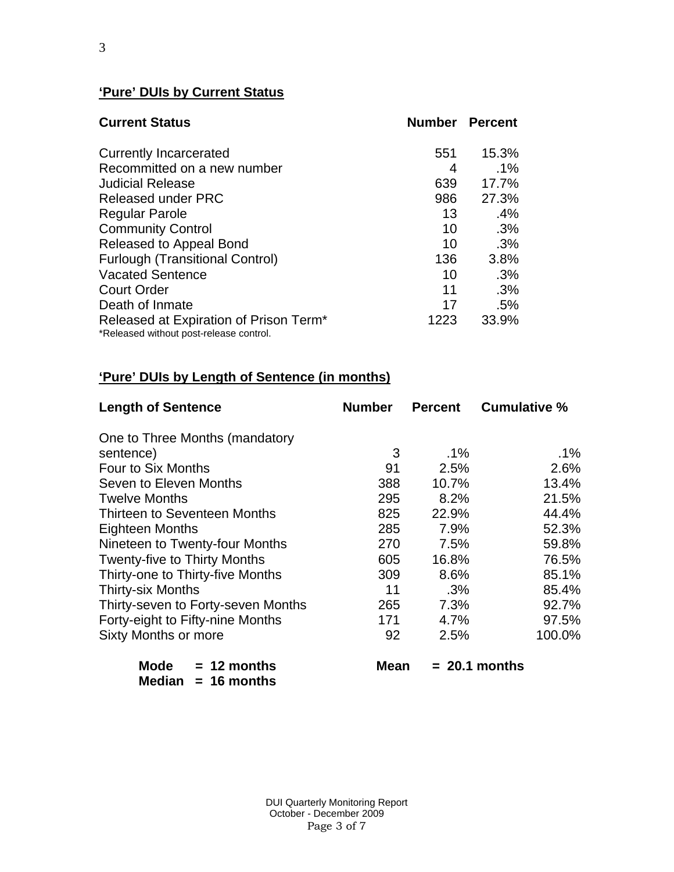# **'Pure' DUIs by Current Status**

| <b>Current Status</b>                                                                         |      | <b>Number Percent</b> |
|-----------------------------------------------------------------------------------------------|------|-----------------------|
| <b>Currently Incarcerated</b>                                                                 | 551  | 15.3%                 |
| Recommitted on a new number                                                                   | 4    | $.1\%$                |
| <b>Judicial Release</b>                                                                       | 639  | 17.7%                 |
| <b>Released under PRC</b>                                                                     | 986  | 27.3%                 |
| <b>Regular Parole</b>                                                                         | 13   | .4%                   |
| <b>Community Control</b>                                                                      | 10   | .3%                   |
| Released to Appeal Bond                                                                       | 10   | .3%                   |
| <b>Furlough (Transitional Control)</b>                                                        | 136  | 3.8%                  |
| <b>Vacated Sentence</b>                                                                       | 10   | .3%                   |
| <b>Court Order</b>                                                                            | 11   | .3%                   |
| Death of Inmate                                                                               | 17   | .5%                   |
| Released at Expiration of Prison Term <sup>*</sup><br>*Released without post-release control. | 1223 | 33.9%                 |

# **'Pure' DUIs by Length of Sentence (in months)**

| <b>Length of Sentence</b>           | <b>Number</b> | <b>Percent</b> | <b>Cumulative %</b> |
|-------------------------------------|---------------|----------------|---------------------|
| One to Three Months (mandatory      |               |                |                     |
| sentence)                           | 3             | $.1\%$         | $.1\%$              |
| Four to Six Months                  | 91            | 2.5%           | 2.6%                |
| Seven to Eleven Months              | 388           | 10.7%          | 13.4%               |
| <b>Twelve Months</b>                | 295           | 8.2%           | 21.5%               |
| Thirteen to Seventeen Months        | 825           | 22.9%          | 44.4%               |
| <b>Eighteen Months</b>              | 285           | 7.9%           | 52.3%               |
| Nineteen to Twenty-four Months      | 270           | 7.5%           | 59.8%               |
| <b>Twenty-five to Thirty Months</b> | 605           | 16.8%          | 76.5%               |
| Thirty-one to Thirty-five Months    | 309           | 8.6%           | 85.1%               |
| <b>Thirty-six Months</b>            | 11            | $.3\%$         | 85.4%               |
| Thirty-seven to Forty-seven Months  | 265           | 7.3%           | 92.7%               |
| Forty-eight to Fifty-nine Months    | 171           | 4.7%           | 97.5%               |
| <b>Sixty Months or more</b>         | 92            | 2.5%           | 100.0%              |
| <b>Mode</b><br>$= 12$ months        | Mean          |                | $= 20.1$ months     |

|        | .             |
|--------|---------------|
| Median | $= 16$ months |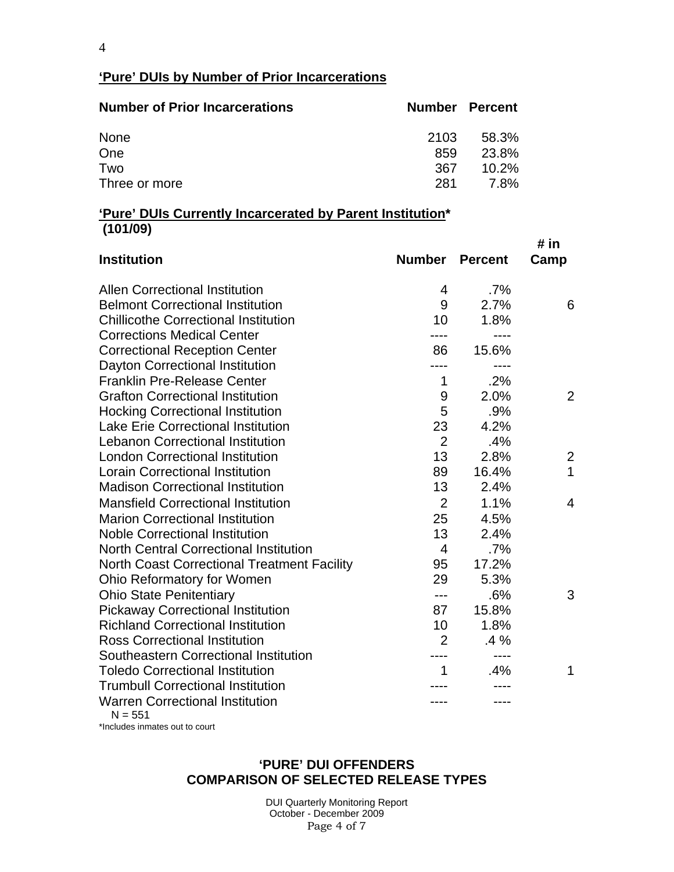4

# **'Pure' DUIs by Number of Prior Incarcerations**

| <b>Number of Prior Incarcerations</b> | <b>Number Percent</b> |          |
|---------------------------------------|-----------------------|----------|
| <b>None</b>                           | 2103                  | 58.3%    |
| One                                   | 859                   | 23.8%    |
| Two                                   | 367                   | $10.2\%$ |
| Three or more                         | 281                   | 7.8%     |

#### **'Pure' DUIs Currently Incarcerated by Parent Institution\* (101/09)**

| <b>Institution</b>                                  | <b>Number</b>    | <b>Percent</b> | # in<br>Camp   |
|-----------------------------------------------------|------------------|----------------|----------------|
| <b>Allen Correctional Institution</b>               | 4                | $.7\%$         |                |
| <b>Belmont Correctional Institution</b>             | 9                | 2.7%           | 6              |
| <b>Chillicothe Correctional Institution</b>         | 10               | 1.8%           |                |
| <b>Corrections Medical Center</b>                   | ----             |                |                |
| <b>Correctional Reception Center</b>                | 86               | 15.6%          |                |
| <b>Dayton Correctional Institution</b>              |                  | $- - - -$      |                |
| <b>Franklin Pre-Release Center</b>                  | 1                | .2%            |                |
| <b>Grafton Correctional Institution</b>             | $\boldsymbol{9}$ | 2.0%           | 2              |
| <b>Hocking Correctional Institution</b>             | 5                | .9%            |                |
| <b>Lake Erie Correctional Institution</b>           | 23               | 4.2%           |                |
| <b>Lebanon Correctional Institution</b>             | $\overline{2}$   | .4%            |                |
| <b>London Correctional Institution</b>              | 13               | 2.8%           | $\overline{2}$ |
| <b>Lorain Correctional Institution</b>              | 89               | 16.4%          | $\mathbf{1}$   |
| <b>Madison Correctional Institution</b>             | 13               | 2.4%           |                |
| <b>Mansfield Correctional Institution</b>           | $\overline{2}$   | 1.1%           | $\overline{4}$ |
| <b>Marion Correctional Institution</b>              | 25               | 4.5%           |                |
| <b>Noble Correctional Institution</b>               | 13               | 2.4%           |                |
| <b>North Central Correctional Institution</b>       | $\overline{4}$   | .7%            |                |
| <b>North Coast Correctional Treatment Facility</b>  | 95               | 17.2%          |                |
| Ohio Reformatory for Women                          | 29               | 5.3%           |                |
| <b>Ohio State Penitentiary</b>                      | $---$            | .6%            | 3              |
| <b>Pickaway Correctional Institution</b>            | 87               | 15.8%          |                |
| <b>Richland Correctional Institution</b>            | 10               | 1.8%           |                |
| <b>Ross Correctional Institution</b>                | $\overline{2}$   | $.4\%$         |                |
| Southeastern Correctional Institution               |                  |                |                |
| <b>Toledo Correctional Institution</b>              | 1                | .4%            | 1              |
| <b>Trumbull Correctional Institution</b>            |                  |                |                |
| <b>Warren Correctional Institution</b><br>$N = 551$ |                  |                |                |

\*Includes inmates out to court

### **'PURE' DUI OFFENDERS COMPARISON OF SELECTED RELEASE TYPES**

 DUI Quarterly Monitoring Report October - December 2009 Page 4 of 7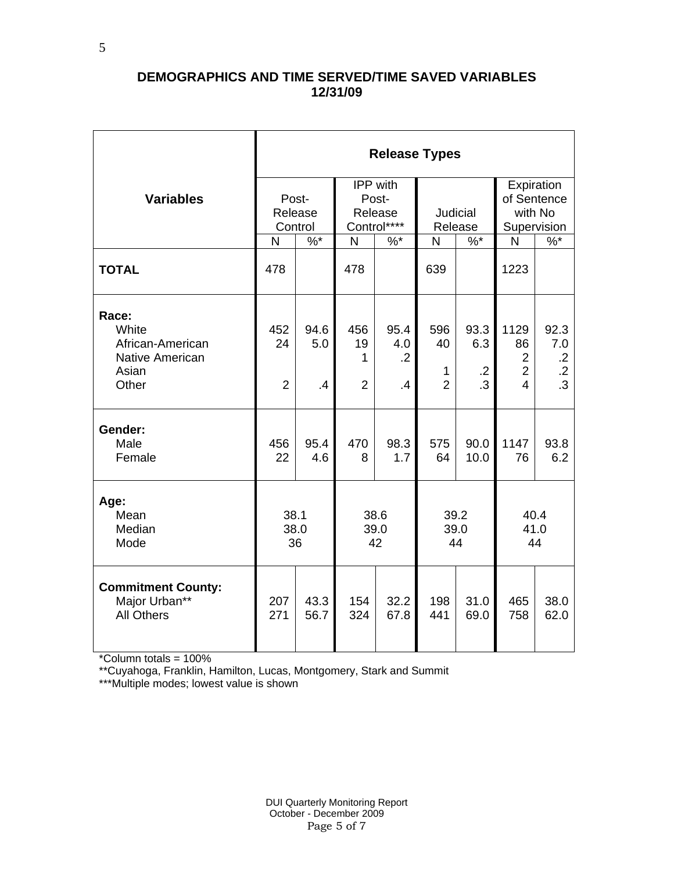## **DEMOGRAPHICS AND TIME SERVED/TIME SAVED VARIABLES 12/31/09**

|                                                                                | <b>Release Types</b>        |                   |                                  |                                             |                                  |                                        |                                                                  |                                                          |  |  |
|--------------------------------------------------------------------------------|-----------------------------|-------------------|----------------------------------|---------------------------------------------|----------------------------------|----------------------------------------|------------------------------------------------------------------|----------------------------------------------------------|--|--|
| <b>Variables</b>                                                               | Post-<br>Release<br>Control |                   |                                  | IPP with<br>Post-<br>Release<br>Control**** | Judicial<br>Release              |                                        | Expiration<br>of Sentence<br>with No<br>Supervision              |                                                          |  |  |
|                                                                                | N                           | $\sqrt[6]{6}$     | $\overline{N}$                   | $%$ *                                       | N                                | $\sqrt[6]{6}$                          | N                                                                | $\overline{\%}$                                          |  |  |
| <b>TOTAL</b>                                                                   | 478                         |                   | 478                              |                                             | 639                              |                                        | 1223                                                             |                                                          |  |  |
| Race:<br>White<br>African-American<br><b>Native American</b><br>Asian<br>Other | 452<br>24<br>$\overline{2}$ | 94.6<br>5.0<br>.4 | 456<br>19<br>1<br>$\overline{2}$ | 95.4<br>4.0<br>$\cdot$ .2<br>$\cdot$        | 596<br>40<br>1<br>$\overline{2}$ | 93.3<br>6.3<br>$\cdot$ .2<br>$\cdot$ 3 | 1129<br>86<br>$\overline{2}$<br>$\overline{2}$<br>$\overline{4}$ | 92.3<br>7.0<br>$\cdot$ .2<br>$\cdot$ .2<br>$\mathbf{.3}$ |  |  |
| Gender:<br>Male<br>Female                                                      | 456<br>22                   | 95.4<br>4.6       | 470<br>8                         | 98.3<br>1.7                                 | 575<br>64                        | 90.0<br>10.0                           | 1147<br>76                                                       | 93.8<br>6.2                                              |  |  |
| Age:<br>Mean<br>Median<br>Mode                                                 | 38.1<br>38.0<br>36          |                   | 38.6<br>39.0<br>42               |                                             | 39.2<br>39.0<br>44               |                                        | 40.4<br>41.0<br>44                                               |                                                          |  |  |
| <b>Commitment County:</b><br>Major Urban**<br><b>All Others</b>                | 207<br>271                  | 43.3<br>56.7      | 154<br>324                       | 32.2<br>67.8                                | 198<br>441                       | 31.0<br>69.0                           | 465<br>758                                                       | 38.0<br>62.0                                             |  |  |

\*Column totals = 100%

\*\*Cuyahoga, Franklin, Hamilton, Lucas, Montgomery, Stark and Summit

\*\*\*Multiple modes; lowest value is shown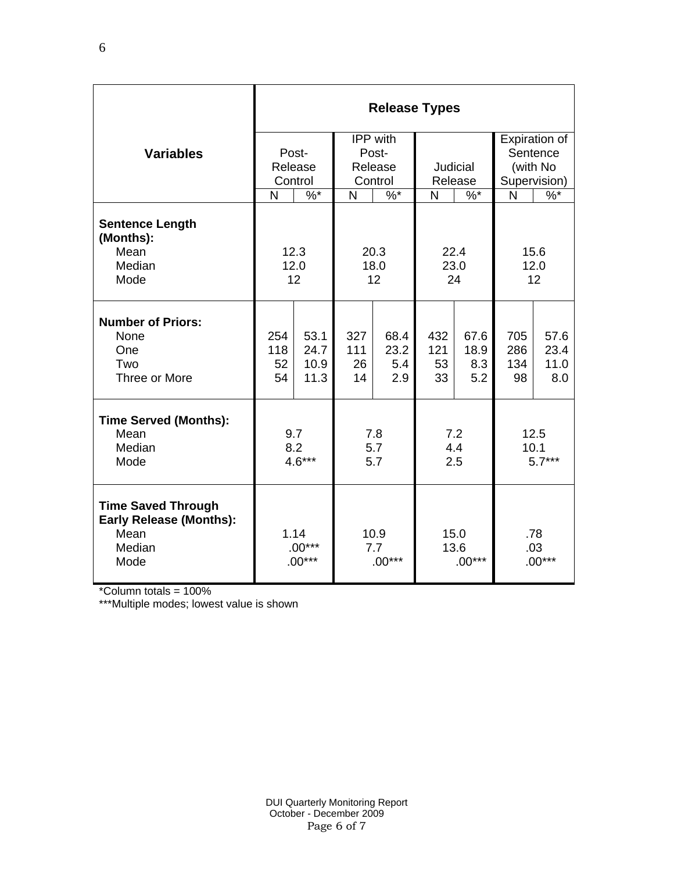|                                                                                       | <b>Release Types</b>         |                              |                         |                            |                          |                            |                          |                             |  |  |
|---------------------------------------------------------------------------------------|------------------------------|------------------------------|-------------------------|----------------------------|--------------------------|----------------------------|--------------------------|-----------------------------|--|--|
|                                                                                       |                              |                              |                         | IPP with                   |                          |                            | Expiration of            |                             |  |  |
| <b>Variables</b>                                                                      | Post-<br>Release             |                              | Post-<br>Release        |                            | <b>Judicial</b>          |                            | Sentence<br>(with No     |                             |  |  |
|                                                                                       | Control                      |                              | Control                 |                            | Release                  |                            | Supervision)             |                             |  |  |
|                                                                                       | N                            | $\%$ *                       | N                       | $\%$ *                     | N                        | $\%$ *                     | N                        | $\frac{9}{6}$               |  |  |
| <b>Sentence Length</b><br>(Months):<br>Mean<br>Median<br>Mode                         |                              | 12.3<br>12.0<br>12           | 20.3<br>18.0<br>12      |                            | 22.4<br>23.0<br>24       |                            | 15.6<br>12.0<br>12       |                             |  |  |
| <b>Number of Priors:</b><br>None<br>One<br>Two<br>Three or More                       | 254<br>118<br>52<br>54       | 53.1<br>24.7<br>10.9<br>11.3 | 327<br>111<br>26<br>14  | 68.4<br>23.2<br>5.4<br>2.9 | 432<br>121<br>53<br>33   | 67.6<br>18.9<br>8.3<br>5.2 | 705<br>286<br>134<br>98  | 57.6<br>23.4<br>11.0<br>8.0 |  |  |
| <b>Time Served (Months):</b><br>Mean<br>Median<br>Mode                                | 9.7<br>8.2<br>$4.6***$       |                              | 7.8<br>5.7<br>5.7       |                            | 7.2<br>4.4<br>2.5        |                            | 12.5<br>10.1<br>$5.7***$ |                             |  |  |
| <b>Time Saved Through</b><br><b>Early Release (Months):</b><br>Mean<br>Median<br>Mode | 1.14<br>$.00***$<br>$.00***$ |                              | 10.9<br>7.7<br>$.00***$ |                            | 15.0<br>13.6<br>$.00***$ |                            | .78<br>.03<br>$.00***$   |                             |  |  |

\*Column totals = 100%

\*\*\*Multiple modes; lowest value is shown